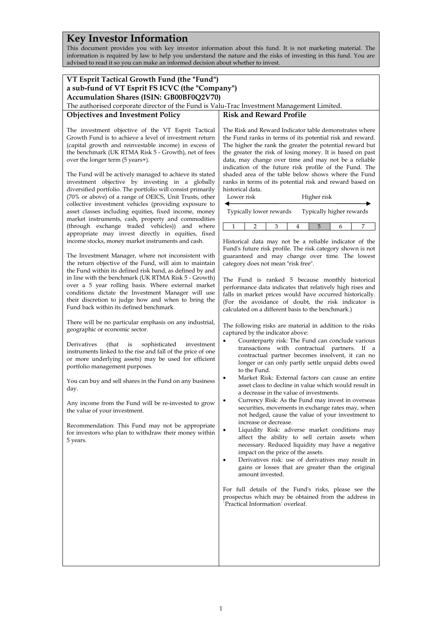# **Key Investor Information**

This document provides you with key investor information about this fund. It is not marketing material. The information is required by law to help you understand the nature and the risks of investing in this fund. You are advised to read it so you can make an informed decision about whether to invest.

| VT Esprit Tactical Growth Fund (the "Fund")<br>a sub-fund of VT Esprit FS ICVC (the "Company")                                                                                                                                                                                                                                                                                                                                                                                                           |                                                                                                                                                                                                                                                                                                                                                                                                                                                                                                                                    |  |
|----------------------------------------------------------------------------------------------------------------------------------------------------------------------------------------------------------------------------------------------------------------------------------------------------------------------------------------------------------------------------------------------------------------------------------------------------------------------------------------------------------|------------------------------------------------------------------------------------------------------------------------------------------------------------------------------------------------------------------------------------------------------------------------------------------------------------------------------------------------------------------------------------------------------------------------------------------------------------------------------------------------------------------------------------|--|
| Accumulation Shares (ISIN: GB00BF0Q2V70)<br>The authorised corporate director of the Fund is Valu-Trac Investment Management Limited.                                                                                                                                                                                                                                                                                                                                                                    |                                                                                                                                                                                                                                                                                                                                                                                                                                                                                                                                    |  |
|                                                                                                                                                                                                                                                                                                                                                                                                                                                                                                          | <b>Risk and Reward Profile</b>                                                                                                                                                                                                                                                                                                                                                                                                                                                                                                     |  |
| <b>Objectives and Investment Policy</b>                                                                                                                                                                                                                                                                                                                                                                                                                                                                  |                                                                                                                                                                                                                                                                                                                                                                                                                                                                                                                                    |  |
| The investment objective of the VT Esprit Tactical<br>Growth Fund is to achieve a level of investment return<br>(capital growth and reinvestable income) in excess of<br>the benchmark (UK RTMA Risk 5 - Growth), net of fees<br>over the longer term (5 years+).<br>The Fund will be actively managed to achieve its stated<br>investment objective by investing in a globally<br>diversified portfolio. The portfolio will consist primarily<br>(70% or above) of a range of OEICS, Unit Trusts, other | The Risk and Reward Indicator table demonstrates where<br>the Fund ranks in terms of its potential risk and reward.<br>The higher the rank the greater the potential reward but<br>the greater the risk of losing money. It is based on past<br>data, may change over time and may not be a reliable<br>indication of the future risk profile of the Fund. The<br>shaded area of the table below shows where the Fund<br>ranks in terms of its potential risk and reward based on<br>historical data.<br>Lower risk<br>Higher risk |  |
| collective investment vehicles (providing exposure to<br>asset classes including equities, fixed income, money                                                                                                                                                                                                                                                                                                                                                                                           | ◀<br>Typically lower rewards<br>Typically higher rewards                                                                                                                                                                                                                                                                                                                                                                                                                                                                           |  |
| market instruments, cash, property and commodities<br>(through exchange traded vehicles)) and where                                                                                                                                                                                                                                                                                                                                                                                                      | 1<br>3<br>5<br>7<br>2<br>4<br>6                                                                                                                                                                                                                                                                                                                                                                                                                                                                                                    |  |
| appropriate may invest directly in equities, fixed                                                                                                                                                                                                                                                                                                                                                                                                                                                       |                                                                                                                                                                                                                                                                                                                                                                                                                                                                                                                                    |  |
| income stocks, money market instruments and cash.<br>The Investment Manager, where not inconsistent with<br>the return objective of the Fund, will aim to maintain<br>the Fund within its defined risk band, as defined by and<br>in line with the benchmark (UK RTMA Risk 5 - Growth)<br>over a 5 year rolling basis. Where external market<br>conditions dictate the Investment Manager will use<br>their discretion to judge how and when to bring the<br>Fund back within its defined benchmark.     | Historical data may not be a reliable indicator of the<br>Fund's future risk profile. The risk category shown is not<br>guaranteed and may change over time. The lowest<br>category does not mean "risk free".<br>The Fund is ranked 5 because monthly historical                                                                                                                                                                                                                                                                  |  |
|                                                                                                                                                                                                                                                                                                                                                                                                                                                                                                          | performance data indicates that relatively high rises and<br>falls in market prices would have occurred historically.<br>(For the avoidance of doubt, the risk indicator is<br>calculated on a different basis to the benchmark.)                                                                                                                                                                                                                                                                                                  |  |
| There will be no particular emphasis on any industrial,<br>geographic or economic sector.                                                                                                                                                                                                                                                                                                                                                                                                                | The following risks are material in addition to the risks<br>captured by the indicator above:                                                                                                                                                                                                                                                                                                                                                                                                                                      |  |
| sophisticated<br>Derivatives<br>(that)<br>investment<br>is<br>instruments linked to the rise and fall of the price of one<br>or more underlying assets) may be used for efficient<br>portfolio management purposes.                                                                                                                                                                                                                                                                                      | Counterparty risk: The Fund can conclude various<br>$\bullet$<br>transactions with contractual partners. If a<br>contractual partner becomes insolvent, it can no<br>longer or can only partly settle unpaid debts owed<br>to the Fund.                                                                                                                                                                                                                                                                                            |  |
| You can buy and sell shares in the Fund on any business<br>day.                                                                                                                                                                                                                                                                                                                                                                                                                                          | Market Risk: External factors can cause an entire<br>asset class to decline in value which would result in<br>a decrease in the value of investments.                                                                                                                                                                                                                                                                                                                                                                              |  |
| Any income from the Fund will be re-invested to grow<br>the value of your investment.<br>Recommendation: This Fund may not be appropriate                                                                                                                                                                                                                                                                                                                                                                | Currency Risk: As the Fund may invest in overseas<br>securities, movements in exchange rates may, when<br>not hedged, cause the value of your investment to<br>increase or decrease.                                                                                                                                                                                                                                                                                                                                               |  |
| for investors who plan to withdraw their money within<br>5 years.                                                                                                                                                                                                                                                                                                                                                                                                                                        | Liquidity Risk: adverse market conditions may<br>$\bullet$<br>affect the ability to sell certain assets when<br>necessary. Reduced liquidity may have a negative<br>impact on the price of the assets.                                                                                                                                                                                                                                                                                                                             |  |
|                                                                                                                                                                                                                                                                                                                                                                                                                                                                                                          | Derivatives risk: use of derivatives may result in<br>$\bullet$<br>gains or losses that are greater than the original<br>amount invested.                                                                                                                                                                                                                                                                                                                                                                                          |  |
|                                                                                                                                                                                                                                                                                                                                                                                                                                                                                                          | For full details of the Fund's risks, please see the<br>prospectus which may be obtained from the address in<br>'Practical Information' overleaf.                                                                                                                                                                                                                                                                                                                                                                                  |  |
|                                                                                                                                                                                                                                                                                                                                                                                                                                                                                                          |                                                                                                                                                                                                                                                                                                                                                                                                                                                                                                                                    |  |
|                                                                                                                                                                                                                                                                                                                                                                                                                                                                                                          |                                                                                                                                                                                                                                                                                                                                                                                                                                                                                                                                    |  |